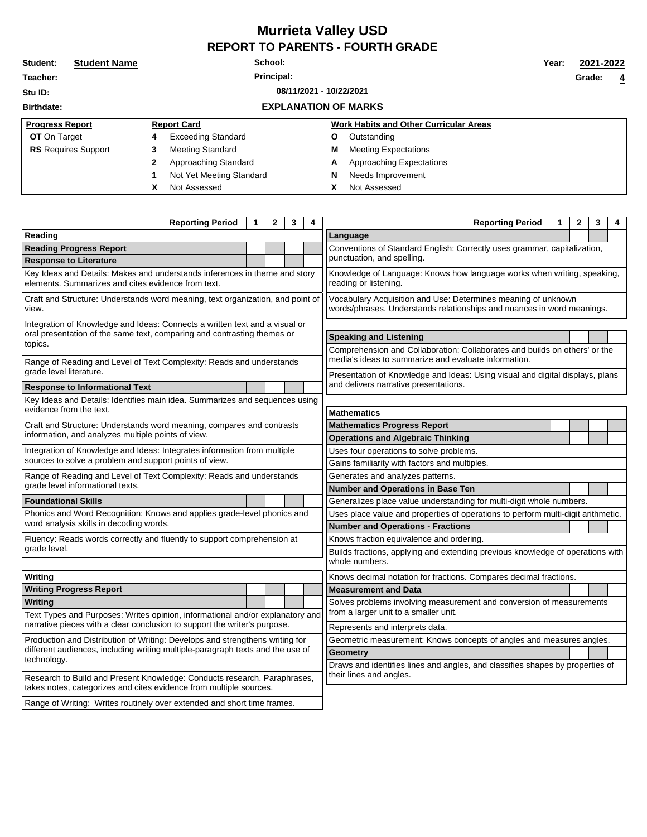## **Murrieta Valley USD REPORT TO PARENTS - FOURTH GRADE**

| Student:                           | <b>Student Name</b> | School: |                             |  |   |                                               |  | 2021-2022 |                |
|------------------------------------|---------------------|---------|-----------------------------|--|---|-----------------------------------------------|--|-----------|----------------|
| Teacher:                           | Principal:          |         |                             |  |   |                                               |  | Grade:    | $\overline{4}$ |
| 08/11/2021 - 10/22/2021<br>Stu ID: |                     |         |                             |  |   |                                               |  |           |                |
| <b>Birthdate:</b>                  |                     |         | <b>EXPLANATION OF MARKS</b> |  |   |                                               |  |           |                |
| <b>Progress Report</b>             |                     |         | <b>Report Card</b>          |  |   | <b>Work Habits and Other Curricular Areas</b> |  |           |                |
| <b>OT</b> On Target                |                     | 4       | <b>Exceeding Standard</b>   |  | Ο | Outstanding                                   |  |           |                |
| <b>RS</b> Requires Support         |                     | 3       | Meeting Standard            |  | м | <b>Meeting Expectations</b>                   |  |           |                |
|                                    |                     | 2       | Approaching Standard        |  | A | Approaching Expectations                      |  |           |                |
|                                    |                     |         | Not Yet Meeting Standard    |  | N | Needs Improvement                             |  |           |                |
|                                    |                     | χ       | Not Assessed                |  | χ | Not Assessed                                  |  |           |                |

| Reading<br>Language<br><b>Reading Progress Report</b><br>Conventions of Standard English: Correctly uses grammar, capitalization,<br>punctuation, and spelling.<br><b>Response to Literature</b><br>Key Ideas and Details: Makes and understands inferences in theme and story<br>Knowledge of Language: Knows how language works when writing, speaking,<br>elements. Summarizes and cites evidence from text.<br>reading or listening.<br>Vocabulary Acquisition and Use: Determines meaning of unknown<br>Craft and Structure: Understands word meaning, text organization, and point of<br>words/phrases. Understands relationships and nuances in word meanings.<br>view.<br>Integration of Knowledge and Ideas: Connects a written text and a visual or<br>oral presentation of the same text, comparing and contrasting themes or<br><b>Speaking and Listening</b><br>topics.<br>Comprehension and Collaboration: Collaborates and builds on others' or the<br>media's ideas to summarize and evaluate information.<br>Range of Reading and Level of Text Complexity: Reads and understands<br>grade level literature.<br>Presentation of Knowledge and Ideas: Using visual and digital displays, plans<br>and delivers narrative presentations.<br><b>Response to Informational Text</b><br>Key Ideas and Details: Identifies main idea. Summarizes and sequences using<br>evidence from the text.<br><b>Mathematics</b><br>Craft and Structure: Understands word meaning, compares and contrasts<br><b>Mathematics Progress Report</b><br>information, and analyzes multiple points of view.<br><b>Operations and Algebraic Thinking</b><br>Integration of Knowledge and Ideas: Integrates information from multiple<br>Uses four operations to solve problems.<br>sources to solve a problem and support points of view.<br>Gains familiarity with factors and multiples.<br>Range of Reading and Level of Text Complexity: Reads and understands<br>Generates and analyzes patterns.<br>grade level informational texts.<br><b>Number and Operations in Base Ten</b><br><b>Foundational Skills</b><br>Generalizes place value understanding for multi-digit whole numbers.<br>Phonics and Word Recognition: Knows and applies grade-level phonics and<br>Uses place value and properties of operations to perform multi-digit arithmetic.<br>word analysis skills in decoding words.<br><b>Number and Operations - Fractions</b><br>Fluency: Reads words correctly and fluently to support comprehension at<br>Knows fraction equivalence and ordering.<br>grade level.<br>Builds fractions, applying and extending previous knowledge of operations with<br>whole numbers. |                                                                              | <b>Reporting Period</b> | 1 | 2 | 3 | 4                                                                             | <b>Reporting Period</b><br>$\mathbf{2}$<br>3<br>1                    | 4 |  |  |  |  |  |  |
|----------------------------------------------------------------------------------------------------------------------------------------------------------------------------------------------------------------------------------------------------------------------------------------------------------------------------------------------------------------------------------------------------------------------------------------------------------------------------------------------------------------------------------------------------------------------------------------------------------------------------------------------------------------------------------------------------------------------------------------------------------------------------------------------------------------------------------------------------------------------------------------------------------------------------------------------------------------------------------------------------------------------------------------------------------------------------------------------------------------------------------------------------------------------------------------------------------------------------------------------------------------------------------------------------------------------------------------------------------------------------------------------------------------------------------------------------------------------------------------------------------------------------------------------------------------------------------------------------------------------------------------------------------------------------------------------------------------------------------------------------------------------------------------------------------------------------------------------------------------------------------------------------------------------------------------------------------------------------------------------------------------------------------------------------------------------------------------------------------------------------------------------------------------------------------------------------------------------------------------------------------------------------------------------------------------------------------------------------------------------------------------------------------------------------------------------------------------------------------------------------------------------------------------------------------------------------------------------------------------------------------------------------------------------------------------|------------------------------------------------------------------------------|-------------------------|---|---|---|-------------------------------------------------------------------------------|----------------------------------------------------------------------|---|--|--|--|--|--|--|
|                                                                                                                                                                                                                                                                                                                                                                                                                                                                                                                                                                                                                                                                                                                                                                                                                                                                                                                                                                                                                                                                                                                                                                                                                                                                                                                                                                                                                                                                                                                                                                                                                                                                                                                                                                                                                                                                                                                                                                                                                                                                                                                                                                                                                                                                                                                                                                                                                                                                                                                                                                                                                                                                                        |                                                                              |                         |   |   |   |                                                                               |                                                                      |   |  |  |  |  |  |  |
|                                                                                                                                                                                                                                                                                                                                                                                                                                                                                                                                                                                                                                                                                                                                                                                                                                                                                                                                                                                                                                                                                                                                                                                                                                                                                                                                                                                                                                                                                                                                                                                                                                                                                                                                                                                                                                                                                                                                                                                                                                                                                                                                                                                                                                                                                                                                                                                                                                                                                                                                                                                                                                                                                        |                                                                              |                         |   |   |   |                                                                               |                                                                      |   |  |  |  |  |  |  |
|                                                                                                                                                                                                                                                                                                                                                                                                                                                                                                                                                                                                                                                                                                                                                                                                                                                                                                                                                                                                                                                                                                                                                                                                                                                                                                                                                                                                                                                                                                                                                                                                                                                                                                                                                                                                                                                                                                                                                                                                                                                                                                                                                                                                                                                                                                                                                                                                                                                                                                                                                                                                                                                                                        |                                                                              |                         |   |   |   |                                                                               |                                                                      |   |  |  |  |  |  |  |
|                                                                                                                                                                                                                                                                                                                                                                                                                                                                                                                                                                                                                                                                                                                                                                                                                                                                                                                                                                                                                                                                                                                                                                                                                                                                                                                                                                                                                                                                                                                                                                                                                                                                                                                                                                                                                                                                                                                                                                                                                                                                                                                                                                                                                                                                                                                                                                                                                                                                                                                                                                                                                                                                                        |                                                                              |                         |   |   |   |                                                                               |                                                                      |   |  |  |  |  |  |  |
|                                                                                                                                                                                                                                                                                                                                                                                                                                                                                                                                                                                                                                                                                                                                                                                                                                                                                                                                                                                                                                                                                                                                                                                                                                                                                                                                                                                                                                                                                                                                                                                                                                                                                                                                                                                                                                                                                                                                                                                                                                                                                                                                                                                                                                                                                                                                                                                                                                                                                                                                                                                                                                                                                        |                                                                              |                         |   |   |   |                                                                               |                                                                      |   |  |  |  |  |  |  |
|                                                                                                                                                                                                                                                                                                                                                                                                                                                                                                                                                                                                                                                                                                                                                                                                                                                                                                                                                                                                                                                                                                                                                                                                                                                                                                                                                                                                                                                                                                                                                                                                                                                                                                                                                                                                                                                                                                                                                                                                                                                                                                                                                                                                                                                                                                                                                                                                                                                                                                                                                                                                                                                                                        |                                                                              |                         |   |   |   |                                                                               |                                                                      |   |  |  |  |  |  |  |
|                                                                                                                                                                                                                                                                                                                                                                                                                                                                                                                                                                                                                                                                                                                                                                                                                                                                                                                                                                                                                                                                                                                                                                                                                                                                                                                                                                                                                                                                                                                                                                                                                                                                                                                                                                                                                                                                                                                                                                                                                                                                                                                                                                                                                                                                                                                                                                                                                                                                                                                                                                                                                                                                                        |                                                                              |                         |   |   |   |                                                                               |                                                                      |   |  |  |  |  |  |  |
|                                                                                                                                                                                                                                                                                                                                                                                                                                                                                                                                                                                                                                                                                                                                                                                                                                                                                                                                                                                                                                                                                                                                                                                                                                                                                                                                                                                                                                                                                                                                                                                                                                                                                                                                                                                                                                                                                                                                                                                                                                                                                                                                                                                                                                                                                                                                                                                                                                                                                                                                                                                                                                                                                        |                                                                              |                         |   |   |   |                                                                               |                                                                      |   |  |  |  |  |  |  |
|                                                                                                                                                                                                                                                                                                                                                                                                                                                                                                                                                                                                                                                                                                                                                                                                                                                                                                                                                                                                                                                                                                                                                                                                                                                                                                                                                                                                                                                                                                                                                                                                                                                                                                                                                                                                                                                                                                                                                                                                                                                                                                                                                                                                                                                                                                                                                                                                                                                                                                                                                                                                                                                                                        |                                                                              |                         |   |   |   |                                                                               |                                                                      |   |  |  |  |  |  |  |
|                                                                                                                                                                                                                                                                                                                                                                                                                                                                                                                                                                                                                                                                                                                                                                                                                                                                                                                                                                                                                                                                                                                                                                                                                                                                                                                                                                                                                                                                                                                                                                                                                                                                                                                                                                                                                                                                                                                                                                                                                                                                                                                                                                                                                                                                                                                                                                                                                                                                                                                                                                                                                                                                                        |                                                                              |                         |   |   |   |                                                                               |                                                                      |   |  |  |  |  |  |  |
|                                                                                                                                                                                                                                                                                                                                                                                                                                                                                                                                                                                                                                                                                                                                                                                                                                                                                                                                                                                                                                                                                                                                                                                                                                                                                                                                                                                                                                                                                                                                                                                                                                                                                                                                                                                                                                                                                                                                                                                                                                                                                                                                                                                                                                                                                                                                                                                                                                                                                                                                                                                                                                                                                        |                                                                              |                         |   |   |   |                                                                               |                                                                      |   |  |  |  |  |  |  |
|                                                                                                                                                                                                                                                                                                                                                                                                                                                                                                                                                                                                                                                                                                                                                                                                                                                                                                                                                                                                                                                                                                                                                                                                                                                                                                                                                                                                                                                                                                                                                                                                                                                                                                                                                                                                                                                                                                                                                                                                                                                                                                                                                                                                                                                                                                                                                                                                                                                                                                                                                                                                                                                                                        |                                                                              |                         |   |   |   |                                                                               |                                                                      |   |  |  |  |  |  |  |
|                                                                                                                                                                                                                                                                                                                                                                                                                                                                                                                                                                                                                                                                                                                                                                                                                                                                                                                                                                                                                                                                                                                                                                                                                                                                                                                                                                                                                                                                                                                                                                                                                                                                                                                                                                                                                                                                                                                                                                                                                                                                                                                                                                                                                                                                                                                                                                                                                                                                                                                                                                                                                                                                                        |                                                                              |                         |   |   |   |                                                                               |                                                                      |   |  |  |  |  |  |  |
|                                                                                                                                                                                                                                                                                                                                                                                                                                                                                                                                                                                                                                                                                                                                                                                                                                                                                                                                                                                                                                                                                                                                                                                                                                                                                                                                                                                                                                                                                                                                                                                                                                                                                                                                                                                                                                                                                                                                                                                                                                                                                                                                                                                                                                                                                                                                                                                                                                                                                                                                                                                                                                                                                        |                                                                              |                         |   |   |   |                                                                               |                                                                      |   |  |  |  |  |  |  |
|                                                                                                                                                                                                                                                                                                                                                                                                                                                                                                                                                                                                                                                                                                                                                                                                                                                                                                                                                                                                                                                                                                                                                                                                                                                                                                                                                                                                                                                                                                                                                                                                                                                                                                                                                                                                                                                                                                                                                                                                                                                                                                                                                                                                                                                                                                                                                                                                                                                                                                                                                                                                                                                                                        |                                                                              |                         |   |   |   |                                                                               |                                                                      |   |  |  |  |  |  |  |
|                                                                                                                                                                                                                                                                                                                                                                                                                                                                                                                                                                                                                                                                                                                                                                                                                                                                                                                                                                                                                                                                                                                                                                                                                                                                                                                                                                                                                                                                                                                                                                                                                                                                                                                                                                                                                                                                                                                                                                                                                                                                                                                                                                                                                                                                                                                                                                                                                                                                                                                                                                                                                                                                                        |                                                                              |                         |   |   |   |                                                                               |                                                                      |   |  |  |  |  |  |  |
|                                                                                                                                                                                                                                                                                                                                                                                                                                                                                                                                                                                                                                                                                                                                                                                                                                                                                                                                                                                                                                                                                                                                                                                                                                                                                                                                                                                                                                                                                                                                                                                                                                                                                                                                                                                                                                                                                                                                                                                                                                                                                                                                                                                                                                                                                                                                                                                                                                                                                                                                                                                                                                                                                        |                                                                              |                         |   |   |   |                                                                               |                                                                      |   |  |  |  |  |  |  |
|                                                                                                                                                                                                                                                                                                                                                                                                                                                                                                                                                                                                                                                                                                                                                                                                                                                                                                                                                                                                                                                                                                                                                                                                                                                                                                                                                                                                                                                                                                                                                                                                                                                                                                                                                                                                                                                                                                                                                                                                                                                                                                                                                                                                                                                                                                                                                                                                                                                                                                                                                                                                                                                                                        |                                                                              |                         |   |   |   |                                                                               |                                                                      |   |  |  |  |  |  |  |
|                                                                                                                                                                                                                                                                                                                                                                                                                                                                                                                                                                                                                                                                                                                                                                                                                                                                                                                                                                                                                                                                                                                                                                                                                                                                                                                                                                                                                                                                                                                                                                                                                                                                                                                                                                                                                                                                                                                                                                                                                                                                                                                                                                                                                                                                                                                                                                                                                                                                                                                                                                                                                                                                                        |                                                                              |                         |   |   |   |                                                                               |                                                                      |   |  |  |  |  |  |  |
|                                                                                                                                                                                                                                                                                                                                                                                                                                                                                                                                                                                                                                                                                                                                                                                                                                                                                                                                                                                                                                                                                                                                                                                                                                                                                                                                                                                                                                                                                                                                                                                                                                                                                                                                                                                                                                                                                                                                                                                                                                                                                                                                                                                                                                                                                                                                                                                                                                                                                                                                                                                                                                                                                        |                                                                              |                         |   |   |   |                                                                               |                                                                      |   |  |  |  |  |  |  |
|                                                                                                                                                                                                                                                                                                                                                                                                                                                                                                                                                                                                                                                                                                                                                                                                                                                                                                                                                                                                                                                                                                                                                                                                                                                                                                                                                                                                                                                                                                                                                                                                                                                                                                                                                                                                                                                                                                                                                                                                                                                                                                                                                                                                                                                                                                                                                                                                                                                                                                                                                                                                                                                                                        |                                                                              |                         |   |   |   |                                                                               |                                                                      |   |  |  |  |  |  |  |
|                                                                                                                                                                                                                                                                                                                                                                                                                                                                                                                                                                                                                                                                                                                                                                                                                                                                                                                                                                                                                                                                                                                                                                                                                                                                                                                                                                                                                                                                                                                                                                                                                                                                                                                                                                                                                                                                                                                                                                                                                                                                                                                                                                                                                                                                                                                                                                                                                                                                                                                                                                                                                                                                                        |                                                                              |                         |   |   |   |                                                                               |                                                                      |   |  |  |  |  |  |  |
|                                                                                                                                                                                                                                                                                                                                                                                                                                                                                                                                                                                                                                                                                                                                                                                                                                                                                                                                                                                                                                                                                                                                                                                                                                                                                                                                                                                                                                                                                                                                                                                                                                                                                                                                                                                                                                                                                                                                                                                                                                                                                                                                                                                                                                                                                                                                                                                                                                                                                                                                                                                                                                                                                        |                                                                              |                         |   |   |   |                                                                               |                                                                      |   |  |  |  |  |  |  |
| Writing<br>Knows decimal notation for fractions. Compares decimal fractions.                                                                                                                                                                                                                                                                                                                                                                                                                                                                                                                                                                                                                                                                                                                                                                                                                                                                                                                                                                                                                                                                                                                                                                                                                                                                                                                                                                                                                                                                                                                                                                                                                                                                                                                                                                                                                                                                                                                                                                                                                                                                                                                                                                                                                                                                                                                                                                                                                                                                                                                                                                                                           |                                                                              |                         |   |   |   |                                                                               |                                                                      |   |  |  |  |  |  |  |
| <b>Writing Progress Report</b><br><b>Measurement and Data</b>                                                                                                                                                                                                                                                                                                                                                                                                                                                                                                                                                                                                                                                                                                                                                                                                                                                                                                                                                                                                                                                                                                                                                                                                                                                                                                                                                                                                                                                                                                                                                                                                                                                                                                                                                                                                                                                                                                                                                                                                                                                                                                                                                                                                                                                                                                                                                                                                                                                                                                                                                                                                                          |                                                                              |                         |   |   |   |                                                                               |                                                                      |   |  |  |  |  |  |  |
| Writing<br>Solves problems involving measurement and conversion of measurements                                                                                                                                                                                                                                                                                                                                                                                                                                                                                                                                                                                                                                                                                                                                                                                                                                                                                                                                                                                                                                                                                                                                                                                                                                                                                                                                                                                                                                                                                                                                                                                                                                                                                                                                                                                                                                                                                                                                                                                                                                                                                                                                                                                                                                                                                                                                                                                                                                                                                                                                                                                                        |                                                                              |                         |   |   |   |                                                                               |                                                                      |   |  |  |  |  |  |  |
| from a larger unit to a smaller unit.<br>Text Types and Purposes: Writes opinion, informational and/or explanatory and<br>narrative pieces with a clear conclusion to support the writer's purpose.                                                                                                                                                                                                                                                                                                                                                                                                                                                                                                                                                                                                                                                                                                                                                                                                                                                                                                                                                                                                                                                                                                                                                                                                                                                                                                                                                                                                                                                                                                                                                                                                                                                                                                                                                                                                                                                                                                                                                                                                                                                                                                                                                                                                                                                                                                                                                                                                                                                                                    |                                                                              |                         |   |   |   |                                                                               | Represents and interprets data.                                      |   |  |  |  |  |  |  |
|                                                                                                                                                                                                                                                                                                                                                                                                                                                                                                                                                                                                                                                                                                                                                                                                                                                                                                                                                                                                                                                                                                                                                                                                                                                                                                                                                                                                                                                                                                                                                                                                                                                                                                                                                                                                                                                                                                                                                                                                                                                                                                                                                                                                                                                                                                                                                                                                                                                                                                                                                                                                                                                                                        | Production and Distribution of Writing: Develops and strengthens writing for |                         |   |   |   |                                                                               | Geometric measurement: Knows concepts of angles and measures angles. |   |  |  |  |  |  |  |
| different audiences, including writing multiple-paragraph texts and the use of<br>Geometry                                                                                                                                                                                                                                                                                                                                                                                                                                                                                                                                                                                                                                                                                                                                                                                                                                                                                                                                                                                                                                                                                                                                                                                                                                                                                                                                                                                                                                                                                                                                                                                                                                                                                                                                                                                                                                                                                                                                                                                                                                                                                                                                                                                                                                                                                                                                                                                                                                                                                                                                                                                             |                                                                              |                         |   |   |   |                                                                               |                                                                      |   |  |  |  |  |  |  |
| technology.                                                                                                                                                                                                                                                                                                                                                                                                                                                                                                                                                                                                                                                                                                                                                                                                                                                                                                                                                                                                                                                                                                                                                                                                                                                                                                                                                                                                                                                                                                                                                                                                                                                                                                                                                                                                                                                                                                                                                                                                                                                                                                                                                                                                                                                                                                                                                                                                                                                                                                                                                                                                                                                                            |                                                                              |                         |   |   |   | Draws and identifies lines and angles, and classifies shapes by properties of |                                                                      |   |  |  |  |  |  |  |
| their lines and angles.<br>Research to Build and Present Knowledge: Conducts research. Paraphrases,                                                                                                                                                                                                                                                                                                                                                                                                                                                                                                                                                                                                                                                                                                                                                                                                                                                                                                                                                                                                                                                                                                                                                                                                                                                                                                                                                                                                                                                                                                                                                                                                                                                                                                                                                                                                                                                                                                                                                                                                                                                                                                                                                                                                                                                                                                                                                                                                                                                                                                                                                                                    | takes notes, categorizes and cites evidence from multiple sources.           |                         |   |   |   |                                                                               |                                                                      |   |  |  |  |  |  |  |
| Range of Writing: Writes routinely over extended and short time frames.                                                                                                                                                                                                                                                                                                                                                                                                                                                                                                                                                                                                                                                                                                                                                                                                                                                                                                                                                                                                                                                                                                                                                                                                                                                                                                                                                                                                                                                                                                                                                                                                                                                                                                                                                                                                                                                                                                                                                                                                                                                                                                                                                                                                                                                                                                                                                                                                                                                                                                                                                                                                                |                                                                              |                         |   |   |   |                                                                               |                                                                      |   |  |  |  |  |  |  |